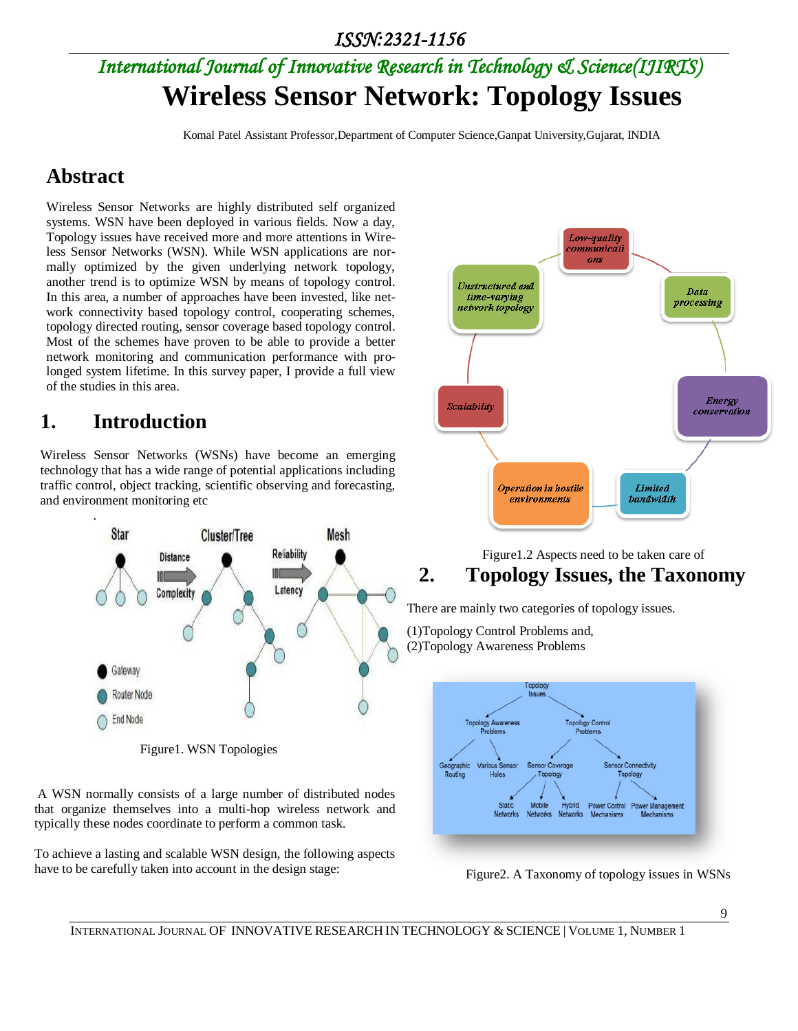## *ISSN:2321-1156*

# *International Journal of Innovative Research in Technology & Science(IJIRTS)* **Wireless Sensor Network: Topology Issues**

Komal Patel Assistant Professor,Department of Computer Science,Ganpat University,Gujarat, INDIA

## **Abstract**

Wireless Sensor Networks are highly distributed self organized systems. WSN have been deployed in various fields. Now a day, Topology issues have received more and more attentions in Wireless Sensor Networks (WSN). While WSN applications are normally optimized by the given underlying network topology, another trend is to optimize WSN by means of topology control. In this area, a number of approaches have been invested, like network connectivity based topology control, cooperating schemes, topology directed routing, sensor coverage based topology control. Most of the schemes have proven to be able to provide a better network monitoring and communication performance with prolonged system lifetime. In this survey paper, I provide a full view of the studies in this area.

## **1. Introduction**

Wireless Sensor Networks (WSNs) have become an emerging technology that has a wide range of potential applications including traffic control, object tracking, scientific observing and forecasting, and environment monitoring etc



Figure1. WSN Topologies

A WSN normally consists of a large number of distributed nodes that organize themselves into a multi-hop wireless network and typically these nodes coordinate to perform a common task.

To achieve a lasting and scalable WSN design, the following aspects have to be carefully taken into account in the design stage:



### Figure1.2 Aspects need to be taken care of **2. Topology Issues, the Taxonomy**

There are mainly two categories of topology issues.

(1)Topology Control Problems and, (2)Topology Awareness Problems



Figure2. A Taxonomy of topology issues in WSNs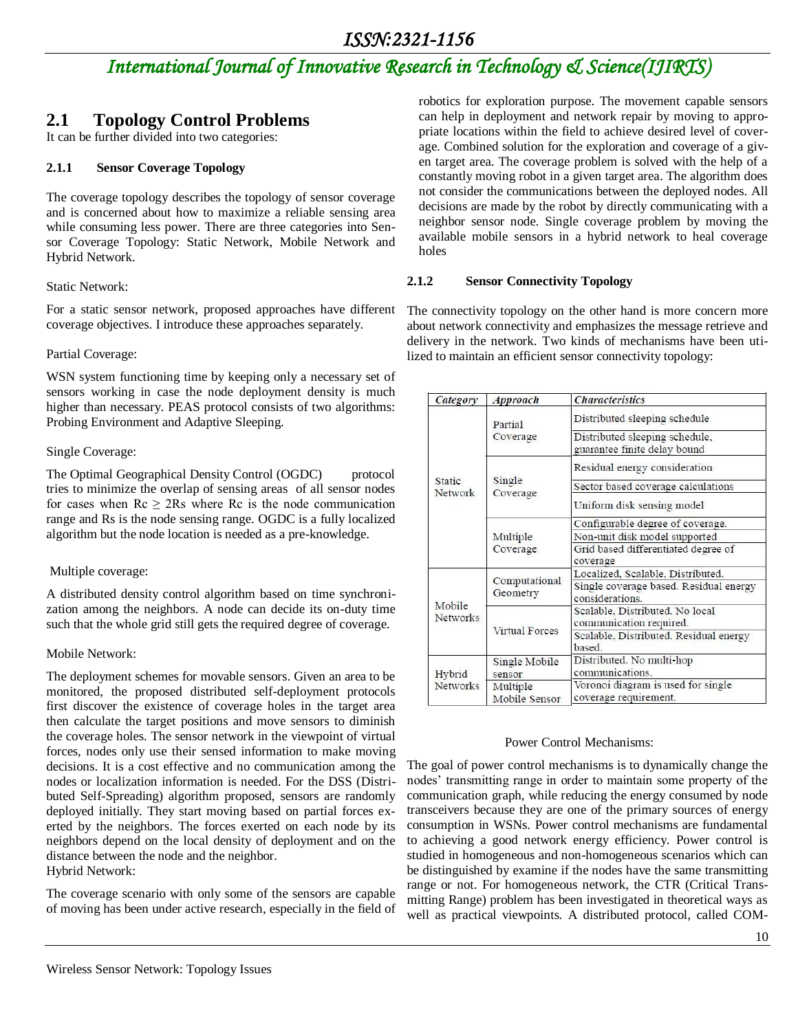# *International Journal of Innovative Research in Technology & Science(IJIRTS)*

## **2.1 Topology Control Problems**

It can be further divided into two categories:

#### **2.1.1 Sensor Coverage Topology**

The coverage topology describes the topology of sensor coverage and is concerned about how to maximize a reliable sensing area while consuming less power. There are three categories into Sensor Coverage Topology: Static Network, Mobile Network and Hybrid Network.

#### Static Network:

For a static sensor network, proposed approaches have different coverage objectives. I introduce these approaches separately.

#### Partial Coverage:

WSN system functioning time by keeping only a necessary set of sensors working in case the node deployment density is much higher than necessary. PEAS protocol consists of two algorithms: Probing Environment and Adaptive Sleeping.

#### Single Coverage:

The Optimal Geographical Density Control (OGDC) protocol tries to minimize the overlap of sensing areas of all sensor nodes for cases when  $\text{Rc} \geq 2\text{Rs}$  where  $\text{Rc}$  is the node communication range and Rs is the node sensing range. OGDC is a fully localized algorithm but the node location is needed as a pre-knowledge.

#### Multiple coverage:

A distributed density control algorithm based on time synchronization among the neighbors. A node can decide its on-duty time such that the whole grid still gets the required degree of coverage.

#### Mobile Network:

The deployment schemes for movable sensors. Given an area to be monitored, the proposed distributed self-deployment protocols first discover the existence of coverage holes in the target area then calculate the target positions and move sensors to diminish the coverage holes. The sensor network in the viewpoint of virtual forces, nodes only use their sensed information to make moving decisions. It is a cost effective and no communication among the nodes or localization information is needed. For the DSS (Distributed Self-Spreading) algorithm proposed, sensors are randomly deployed initially. They start moving based on partial forces exerted by the neighbors. The forces exerted on each node by its neighbors depend on the local density of deployment and on the distance between the node and the neighbor. Hybrid Network:

The coverage scenario with only some of the sensors are capable of moving has been under active research, especially in the field of

robotics for exploration purpose. The movement capable sensors can help in deployment and network repair by moving to appropriate locations within the field to achieve desired level of coverage. Combined solution for the exploration and coverage of a given target area. The coverage problem is solved with the help of a constantly moving robot in a given target area. The algorithm does not consider the communications between the deployed nodes. All decisions are made by the robot by directly communicating with a neighbor sensor node. Single coverage problem by moving the available mobile sensors in a hybrid network to heal coverage holes

#### **2.1.2 Sensor Connectivity Topology**

The connectivity topology on the other hand is more concern more about network connectivity and emphasizes the message retrieve and delivery in the network. Two kinds of mechanisms have been utilized to maintain an efficient sensor connectivity topology:

| Category                  | Approach                  | <b>Characteristics</b>                                         |
|---------------------------|---------------------------|----------------------------------------------------------------|
| Static<br>Network         | Partial<br>Coverage       | Distributed sleeping schedule                                  |
|                           |                           | Distributed sleeping schedule,<br>guarantee finite delay bound |
|                           | Single<br>Coverage        | Residual energy consideration                                  |
|                           |                           | Sector based coverage calculations                             |
|                           |                           | Uniform disk sensing model                                     |
|                           | Multiple<br>Coverage      | Configurable degree of coverage.                               |
|                           |                           | Non-unit disk model supported                                  |
|                           |                           | Grid based differentiated degree of<br>coverage                |
| Mobile<br>Networks        | Computational<br>Geometry | Localized, Scalable, Distributed.                              |
|                           |                           | Single coverage based. Residual energy<br>considerations.      |
|                           | <b>Virtual Forces</b>     | Scalable, Distributed. No local<br>communication required.     |
|                           |                           | Scalable, Distributed. Residual energy<br>based.               |
| Hybrid<br><b>Networks</b> | Single Mobile<br>sensor   | Distributed. No multi-hop<br>communications.                   |
|                           | Multiple<br>Mobile Sensor | Voronoi diagram is used for single<br>coverage requirement.    |

#### Power Control Mechanisms:

The goal of power control mechanisms is to dynamically change the nodes' transmitting range in order to maintain some property of the communication graph, while reducing the energy consumed by node transceivers because they are one of the primary sources of energy consumption in WSNs. Power control mechanisms are fundamental to achieving a good network energy efficiency. Power control is studied in homogeneous and non-homogeneous scenarios which can be distinguished by examine if the nodes have the same transmitting range or not. For homogeneous network, the CTR (Critical Transmitting Range) problem has been investigated in theoretical ways as well as practical viewpoints. A distributed protocol, called COM-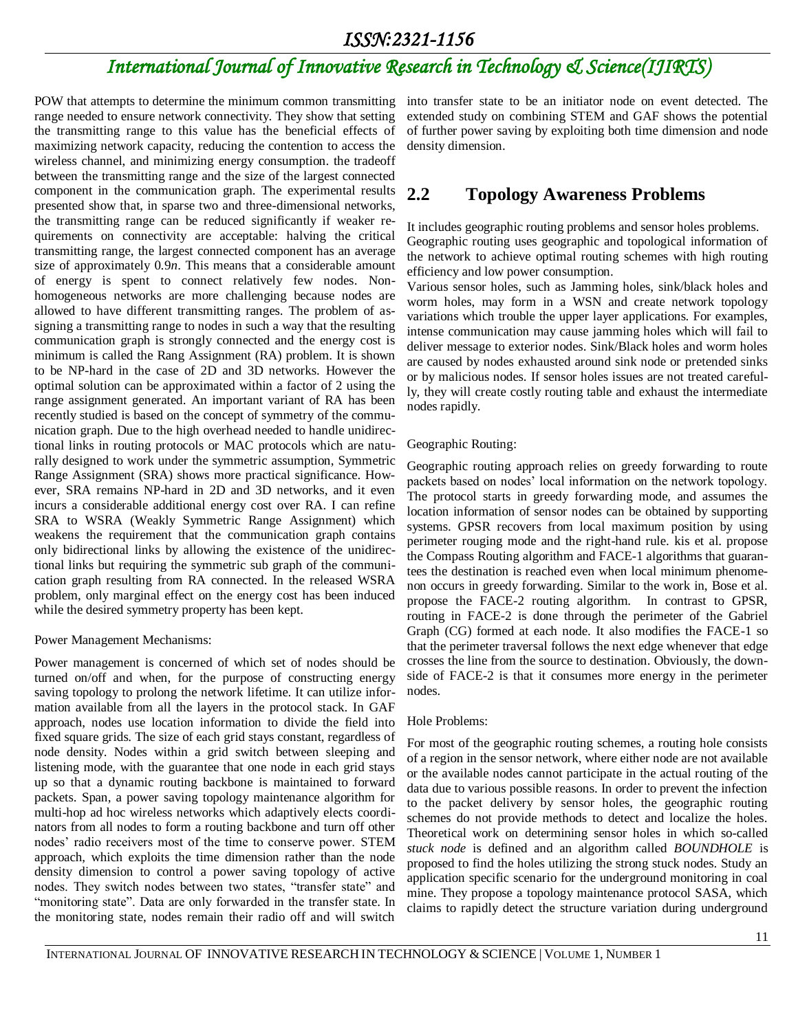### *ISSN:2321-1156*

# *International Journal of Innovative Research in Technology & Science(IJIRTS)*

range needed to ensure network connectivity. They show that setting the transmitting range to this value has the beneficial effects of maximizing network capacity, reducing the contention to access the wireless channel, and minimizing energy consumption. the tradeoff between the transmitting range and the size of the largest connected component in the communication graph. The experimental results presented show that, in sparse two and three-dimensional networks, the transmitting range can be reduced significantly if weaker requirements on connectivity are acceptable: halving the critical transmitting range, the largest connected component has an average size of approximately 0*.*9*n*. This means that a considerable amount of energy is spent to connect relatively few nodes. Nonhomogeneous networks are more challenging because nodes are allowed to have different transmitting ranges. The problem of assigning a transmitting range to nodes in such a way that the resulting communication graph is strongly connected and the energy cost is minimum is called the Rang Assignment (RA) problem. It is shown to be NP-hard in the case of 2D and 3D networks. However the optimal solution can be approximated within a factor of 2 using the range assignment generated. An important variant of RA has been recently studied is based on the concept of symmetry of the communication graph. Due to the high overhead needed to handle unidirectional links in routing protocols or MAC protocols which are naturally designed to work under the symmetric assumption, Symmetric Range Assignment (SRA) shows more practical significance. However, SRA remains NP-hard in 2D and 3D networks, and it even incurs a considerable additional energy cost over RA. I can refine SRA to WSRA (Weakly Symmetric Range Assignment) which weakens the requirement that the communication graph contains only bidirectional links by allowing the existence of the unidirectional links but requiring the symmetric sub graph of the communication graph resulting from RA connected. In the released WSRA problem, only marginal effect on the energy cost has been induced while the desired symmetry property has been kept.

#### Power Management Mechanisms:

Power management is concerned of which set of nodes should be turned on/off and when, for the purpose of constructing energy saving topology to prolong the network lifetime. It can utilize information available from all the layers in the protocol stack. In GAF approach, nodes use location information to divide the field into fixed square grids. The size of each grid stays constant, regardless of node density. Nodes within a grid switch between sleeping and listening mode, with the guarantee that one node in each grid stays up so that a dynamic routing backbone is maintained to forward packets. Span, a power saving topology maintenance algorithm for multi-hop ad hoc wireless networks which adaptively elects coordinators from all nodes to form a routing backbone and turn off other nodes' radio receivers most of the time to conserve power. STEM approach, which exploits the time dimension rather than the node density dimension to control a power saving topology of active nodes. They switch nodes between two states, "transfer state" and "monitoring state". Data are only forwarded in the transfer state. In the monitoring state, nodes remain their radio off and will switch

POW that attempts to determine the minimum common transmitting into transfer state to be an initiator node on event detected. The extended study on combining STEM and GAF shows the potential of further power saving by exploiting both time dimension and node density dimension.

### **2.2 Topology Awareness Problems**

It includes geographic routing problems and sensor holes problems. Geographic routing uses geographic and topological information of the network to achieve optimal routing schemes with high routing efficiency and low power consumption.

Various sensor holes, such as Jamming holes, sink/black holes and worm holes, may form in a WSN and create network topology variations which trouble the upper layer applications. For examples, intense communication may cause jamming holes which will fail to deliver message to exterior nodes. Sink/Black holes and worm holes are caused by nodes exhausted around sink node or pretended sinks or by malicious nodes. If sensor holes issues are not treated carefully, they will create costly routing table and exhaust the intermediate nodes rapidly.

#### Geographic Routing:

Geographic routing approach relies on greedy forwarding to route packets based on nodes' local information on the network topology. The protocol starts in greedy forwarding mode, and assumes the location information of sensor nodes can be obtained by supporting systems. GPSR recovers from local maximum position by using perimeter rouging mode and the right-hand rule. kis et al. propose the Compass Routing algorithm and FACE-1 algorithms that guarantees the destination is reached even when local minimum phenomenon occurs in greedy forwarding. Similar to the work in, Bose et al. propose the FACE-2 routing algorithm. In contrast to GPSR, routing in FACE-2 is done through the perimeter of the Gabriel Graph (CG) formed at each node. It also modifies the FACE-1 so that the perimeter traversal follows the next edge whenever that edge crosses the line from the source to destination. Obviously, the downside of FACE-2 is that it consumes more energy in the perimeter nodes.

#### Hole Problems:

For most of the geographic routing schemes, a routing hole consists of a region in the sensor network, where either node are not available or the available nodes cannot participate in the actual routing of the data due to various possible reasons. In order to prevent the infection to the packet delivery by sensor holes, the geographic routing schemes do not provide methods to detect and localize the holes. Theoretical work on determining sensor holes in which so-called *stuck node* is defined and an algorithm called *BOUNDHOLE* is proposed to find the holes utilizing the strong stuck nodes. Study an application specific scenario for the underground monitoring in coal mine. They propose a topology maintenance protocol SASA, which claims to rapidly detect the structure variation during underground